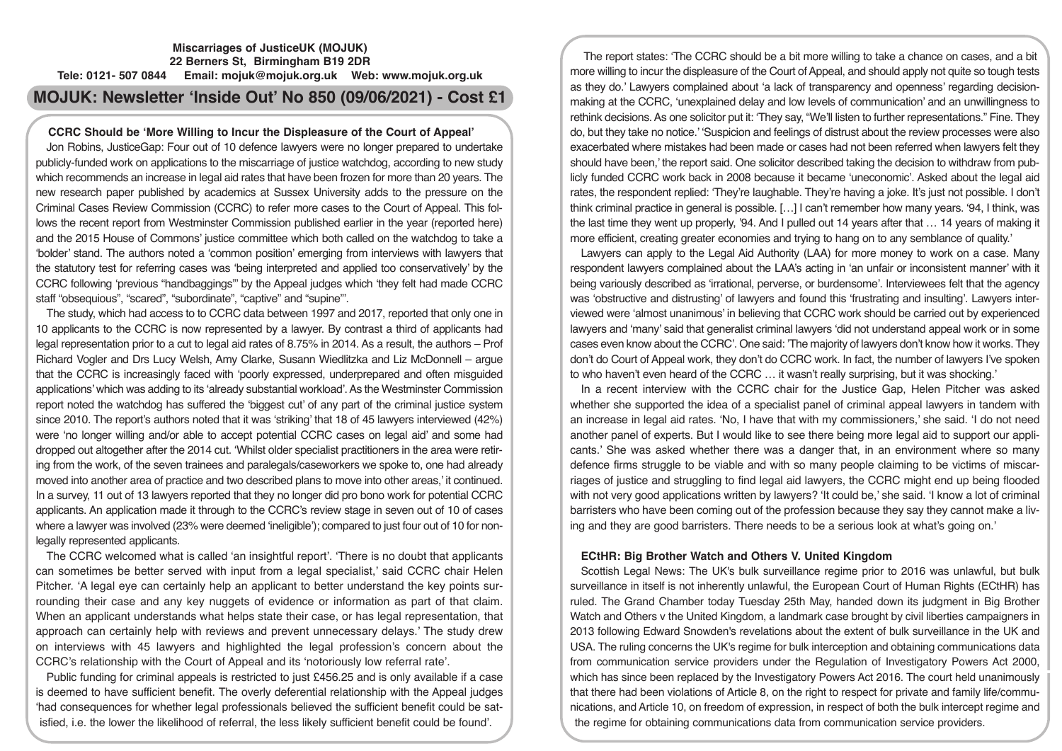## **Miscarriages of JusticeUK (MOJUK) 22 Berners St, Birmingham B19 2DR Tele: 0121- 507 0844 Email: mojuk@mojuk.org.uk Web: www.mojuk.org.uk**

# **MOJUK: Newsletter 'Inside Out' No 850 (09/06/2021) - Cost £1**

## **CCRC Should be 'More Willing to Incur the Displeasure of the Court of Appeal'**

Jon Robins, JusticeGap: Four out of 10 defence lawyers were no longer prepared to undertake publicly-funded work on applications to the miscarriage of justice watchdog, according to new study which recommends an increase in legal aid rates that have been frozen for more than 20 years. The new research paper published by academics at Sussex University adds to the pressure on the Criminal Cases Review Commission (CCRC) to refer more cases to the Court of Appeal. This follows the recent report from Westminster Commission published earlier in the year (reported here) and the 2015 House of Commons' justice committee which both called on the watchdog to take a 'bolder' stand. The authors noted a 'common position' emerging from interviews with lawyers that the statutory test for referring cases was 'being interpreted and applied too conservatively' by the CCRC following 'previous "handbaggings"' by the Appeal judges which 'they felt had made CCRC staff "obsequious", "scared", "subordinate", "captive" and "supine"'.

The study, which had access to to CCRC data between 1997 and 2017, reported that only one in 10 applicants to the CCRC is now represented by a lawyer. By contrast a third of applicants had legal representation prior to a cut to legal aid rates of 8.75% in 2014. As a result, the authors – Prof Richard Vogler and Drs Lucy Welsh, Amy Clarke, Susann Wiedlitzka and Liz McDonnell – argue that the CCRC is increasingly faced with 'poorly expressed, underprepared and often misguided applications' which was adding to its 'already substantial workload'. As the Westminster Commission report noted the watchdog has suffered the 'biggest cut' of any part of the criminal justice system since 2010. The report's authors noted that it was 'striking' that 18 of 45 lawyers interviewed (42%) were 'no longer willing and/or able to accept potential CCRC cases on legal aid' and some had dropped out altogether after the 2014 cut. 'Whilst older specialist practitioners in the area were retiring from the work, of the seven trainees and paralegals/caseworkers we spoke to, one had already moved into another area of practice and two described plans to move into other areas,' it continued. In a survey, 11 out of 13 lawyers reported that they no longer did pro bono work for potential CCRC applicants. An application made it through to the CCRC's review stage in seven out of 10 of cases where a lawyer was involved (23% were deemed 'ineligible'); compared to just four out of 10 for nonlegally represented applicants.

The CCRC welcomed what is called 'an insightful report'. 'There is no doubt that applicants can sometimes be better served with input from a legal specialist,' said CCRC chair Helen Pitcher. 'A legal eye can certainly help an applicant to better understand the key points surrounding their case and any key nuggets of evidence or information as part of that claim. When an applicant understands what helps state their case, or has legal representation, that approach can certainly help with reviews and prevent unnecessary delays.' The study drew on interviews with 45 lawyers and highlighted the legal profession's concern about the CCRC's relationship with the Court of Appeal and its 'notoriously low referral rate'.

Public funding for criminal appeals is restricted to just £456.25 and is only available if a case is deemed to have sufficient benefit. The overly deferential relationship with the Appeal judges 'had consequences for whether legal professionals believed the sufficient benefit could be satisfied, i.e. the lower the likelihood of referral, the less likely sufficient benefit could be found'.

The report states: 'The CCRC should be a bit more willing to take a chance on cases, and a bit more willing to incur the displeasure of the Court of Appeal, and should apply not quite so tough tests as they do.' Lawyers complained about 'a lack of transparency and openness' regarding decisionmaking at the CCRC, 'unexplained delay and low levels of communication' and an unwillingness to rethink decisions. As one solicitor put it: 'They say, "We'll listen to further representations." Fine. They do, but they take no notice.' 'Suspicion and feelings of distrust about the review processes were also exacerbated where mistakes had been made or cases had not been referred when lawyers felt they should have been,' the report said. One solicitor described taking the decision to withdraw from publicly funded CCRC work back in 2008 because it became 'uneconomic'. Asked about the legal aid rates, the respondent replied: 'They're laughable. They're having a joke. It's just not possible. I don't think criminal practice in general is possible. […] I can't remember how many years. '94, I think, was the last time they went up properly, '94. And I pulled out 14 years after that … 14 years of making it more efficient, creating greater economies and trying to hang on to any semblance of quality.'

Lawyers can apply to the Legal Aid Authority (LAA) for more money to work on a case. Many respondent lawyers complained about the LAA's acting in 'an unfair or inconsistent manner' with it being variously described as 'irrational, perverse, or burdensome'. Interviewees felt that the agency was 'obstructive and distrusting' of lawyers and found this 'frustrating and insulting'. Lawyers interviewed were 'almost unanimous' in believing that CCRC work should be carried out by experienced lawyers and 'many' said that generalist criminal lawyers 'did not understand appeal work or in some cases even know about the CCRC'. One said: 'The majority of lawyers don't know how it works. They don't do Court of Appeal work, they don't do CCRC work. In fact, the number of lawyers I've spoken to who haven't even heard of the CCRC … it wasn't really surprising, but it was shocking.'

In a recent interview with the CCRC chair for the Justice Gap, Helen Pitcher was asked whether she supported the idea of a specialist panel of criminal appeal lawyers in tandem with an increase in legal aid rates. 'No, I have that with my commissioners,' she said. 'I do not need another panel of experts. But I would like to see there being more legal aid to support our applicants.' She was asked whether there was a danger that, in an environment where so many defence firms struggle to be viable and with so many people claiming to be victims of miscarriages of justice and struggling to find legal aid lawyers, the CCRC might end up being flooded with not very good applications written by lawyers? 'It could be,' she said. 'I know a lot of criminal barristers who have been coming out of the profession because they say they cannot make a living and they are good barristers. There needs to be a serious look at what's going on.'

## **ECtHR: Big Brother Watch and Others V. United Kingdom**

Scottish Legal News: The UK's bulk surveillance regime prior to 2016 was unlawful, but bulk surveillance in itself is not inherently unlawful, the European Court of Human Rights (ECtHR) has ruled. The Grand Chamber today Tuesday 25th May, handed down its judgment in Big Brother Watch and Others v the United Kingdom, a landmark case brought by civil liberties campaigners in 2013 following Edward Snowden's revelations about the extent of bulk surveillance in the UK and USA. The ruling concerns the UK's regime for bulk interception and obtaining communications data from communication service providers under the Regulation of Investigatory Powers Act 2000, which has since been replaced by the Investigatory Powers Act 2016. The court held unanimously that there had been violations of Article 8, on the right to respect for private and family life/communications, and Article 10, on freedom of expression, in respect of both the bulk intercept regime and the regime for obtaining communications data from communication service providers.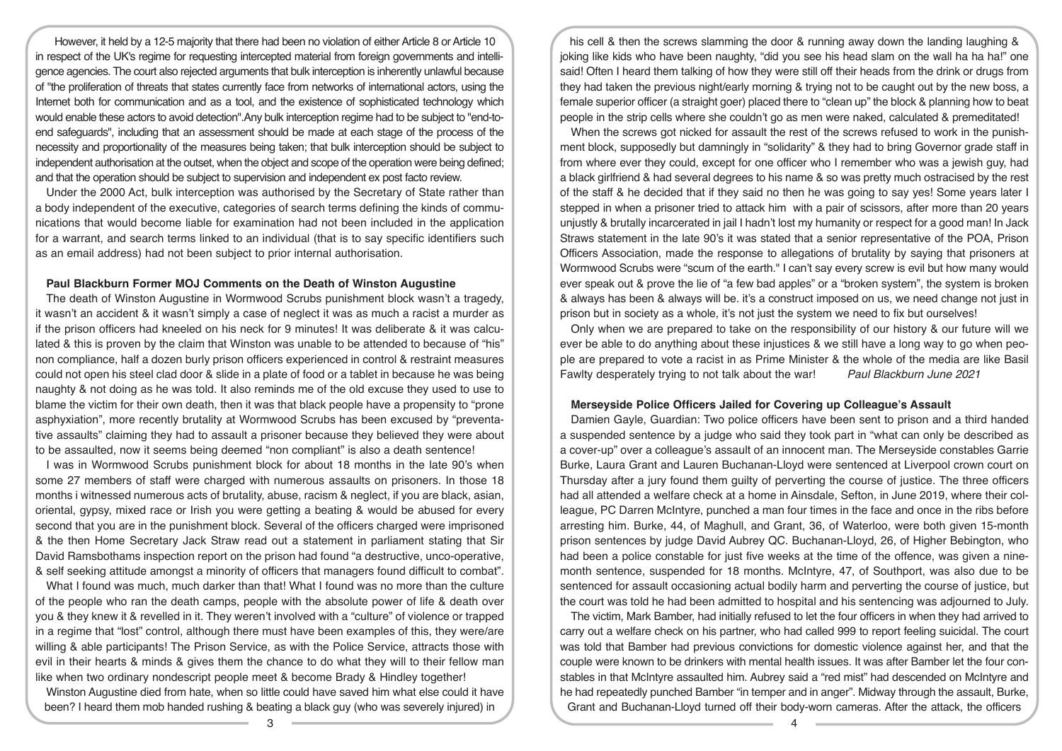However, it held by a 12-5 majority that there had been no violation of either Article 8 or Article 10 in respect of the UK's regime for requesting intercepted material from foreign governments and intelligence agencies. The court also rejected arguments that bulk interception is inherently unlawful because of "the proliferation of threats that states currently face from networks of international actors, using the Internet both for communication and as a tool, and the existence of sophisticated technology which would enable these actors to avoid detection".Any bulk interception regime had to be subject to "end-toend safeguards", including that an assessment should be made at each stage of the process of the necessity and proportionality of the measures being taken; that bulk interception should be subject to independent authorisation at the outset, when the object and scope of the operation were being defined; and that the operation should be subject to supervision and independent ex post facto review.

Under the 2000 Act, bulk interception was authorised by the Secretary of State rather than a body independent of the executive, categories of search terms defining the kinds of communications that would become liable for examination had not been included in the application for a warrant, and search terms linked to an individual (that is to say specific identifiers such as an email address) had not been subject to prior internal authorisation.

## **Paul Blackburn Former MOJ Comments on the Death of Winston Augustine**

The death of Winston Augustine in Wormwood Scrubs punishment block wasn't a tragedy, it wasn't an accident & it wasn't simply a case of neglect it was as much a racist a murder as if the prison officers had kneeled on his neck for 9 minutes! It was deliberate & it was calculated & this is proven by the claim that Winston was unable to be attended to because of "his" non compliance, half a dozen burly prison officers experienced in control & restraint measures could not open his steel clad door & slide in a plate of food or a tablet in because he was being naughty & not doing as he was told. It also reminds me of the old excuse they used to use to blame the victim for their own death, then it was that black people have a propensity to "prone asphyxiation", more recently brutality at Wormwood Scrubs has been excused by "preventative assaults" claiming they had to assault a prisoner because they believed they were about to be assaulted, now it seems being deemed "non compliant" is also a death sentence!

I was in Wormwood Scrubs punishment block for about 18 months in the late 90's when some 27 members of staff were charged with numerous assaults on prisoners. In those 18 months i witnessed numerous acts of brutality, abuse, racism & neglect, if you are black, asian, oriental, gypsy, mixed race or Irish you were getting a beating & would be abused for every second that you are in the punishment block. Several of the officers charged were imprisoned & the then Home Secretary Jack Straw read out a statement in parliament stating that Sir David Ramsbothams inspection report on the prison had found "a destructive, unco-operative, & self seeking attitude amongst a minority of officers that managers found difficult to combat".

What I found was much, much darker than that! What I found was no more than the culture of the people who ran the death camps, people with the absolute power of life & death over you & they knew it & revelled in it. They weren't involved with a "culture" of violence or trapped in a regime that "lost" control, although there must have been examples of this, they were/are willing & able participants! The Prison Service, as with the Police Service, attracts those with evil in their hearts & minds & gives them the chance to do what they will to their fellow man like when two ordinary nondescript people meet & become Brady & Hindley together!

Winston Augustine died from hate, when so little could have saved him what else could it have been? I heard them mob handed rushing & beating a black guy (who was severely injured) in

his cell & then the screws slamming the door & running away down the landing laughing & joking like kids who have been naughty, "did you see his head slam on the wall ha ha ha!" one said! Often I heard them talking of how they were still off their heads from the drink or drugs from they had taken the previous night/early morning & trying not to be caught out by the new boss, a female superior officer (a straight goer) placed there to "clean up" the block & planning how to beat people in the strip cells where she couldn't go as men were naked, calculated & premeditated!

When the screws got nicked for assault the rest of the screws refused to work in the punishment block, supposedly but damningly in "solidarity" & they had to bring Governor grade staff in from where ever they could, except for one officer who I remember who was a jewish guy, had a black girlfriend & had several degrees to his name & so was pretty much ostracised by the rest of the staff & he decided that if they said no then he was going to say yes! Some years later I stepped in when a prisoner tried to attack him with a pair of scissors, after more than 20 years unjustly & brutally incarcerated in jail I hadn't lost my humanity or respect for a good man! In Jack Straws statement in the late 90's it was stated that a senior representative of the POA, Prison Officers Association, made the response to allegations of brutality by saying that prisoners at Wormwood Scrubs were "scum of the earth." I can't say every screw is evil but how many would ever speak out & prove the lie of "a few bad apples" or a "broken system", the system is broken & always has been & always will be. it's a construct imposed on us, we need change not just in prison but in society as a whole, it's not just the system we need to fix but ourselves!

Only when we are prepared to take on the responsibility of our history & our future will we ever be able to do anything about these injustices & we still have a long way to go when people are prepared to vote a racist in as Prime Minister & the whole of the media are like Basil Fawlty desperately trying to not talk about the war! *Paul Blackburn June 2021* 

#### **Merseyside Police Officers Jailed for Covering up Colleague's Assault**

Damien Gayle, Guardian: Two police officers have been sent to prison and a third handed a suspended sentence by a judge who said they took part in "what can only be described as a cover-up" over a colleague's assault of an innocent man. The Merseyside constables Garrie Burke, Laura Grant and Lauren Buchanan-Lloyd were sentenced at Liverpool crown court on Thursday after a jury found them guilty of perverting the course of justice. The three officers had all attended a welfare check at a home in Ainsdale, Sefton, in June 2019, where their colleague, PC Darren McIntyre, punched a man four times in the face and once in the ribs before arresting him. Burke, 44, of Maghull, and Grant, 36, of Waterloo, were both given 15-month prison sentences by judge David Aubrey QC. Buchanan-Lloyd, 26, of Higher Bebington, who had been a police constable for just five weeks at the time of the offence, was given a ninemonth sentence, suspended for 18 months. McIntyre, 47, of Southport, was also due to be sentenced for assault occasioning actual bodily harm and perverting the course of justice, but the court was told he had been admitted to hospital and his sentencing was adjourned to July.

The victim, Mark Bamber, had initially refused to let the four officers in when they had arrived to carry out a welfare check on his partner, who had called 999 to report feeling suicidal. The court was told that Bamber had previous convictions for domestic violence against her, and that the couple were known to be drinkers with mental health issues. It was after Bamber let the four constables in that McIntyre assaulted him. Aubrey said a "red mist" had descended on McIntyre and he had repeatedly punched Bamber "in temper and in anger". Midway through the assault, Burke, Grant and Buchanan-Lloyd turned off their body-worn cameras. After the attack, the officers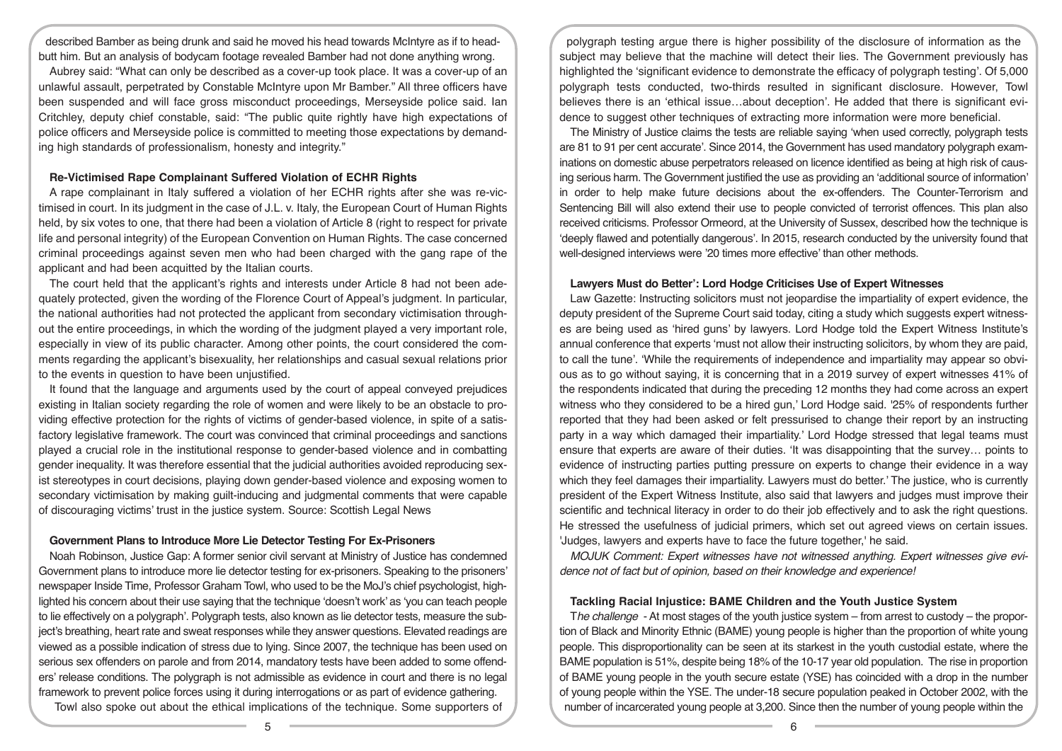described Bamber as being drunk and said he moved his head towards McIntyre as if to headbutt him. But an analysis of bodycam footage revealed Bamber had not done anything wrong.

Aubrey said: "What can only be described as a cover-up took place. It was a cover-up of an unlawful assault, perpetrated by Constable McIntyre upon Mr Bamber." All three officers have been suspended and will face gross misconduct proceedings, Merseyside police said. Ian Critchley, deputy chief constable, said: "The public quite rightly have high expectations of police officers and Merseyside police is committed to meeting those expectations by demanding high standards of professionalism, honesty and integrity."

## **Re-Victimised Rape Complainant Suffered Violation of ECHR Rights**

A rape complainant in Italy suffered a violation of her ECHR rights after she was re-victimised in court. In its judgment in the case of J.L. v. Italy, the European Court of Human Rights held, by six votes to one, that there had been a violation of Article 8 (right to respect for private life and personal integrity) of the European Convention on Human Rights. The case concerned criminal proceedings against seven men who had been charged with the gang rape of the applicant and had been acquitted by the Italian courts.

The court held that the applicant's rights and interests under Article 8 had not been adequately protected, given the wording of the Florence Court of Appeal's judgment. In particular, the national authorities had not protected the applicant from secondary victimisation throughout the entire proceedings, in which the wording of the judgment played a very important role, especially in view of its public character. Among other points, the court considered the comments regarding the applicant's bisexuality, her relationships and casual sexual relations prior to the events in question to have been unjustified.

It found that the language and arguments used by the court of appeal conveyed prejudices existing in Italian society regarding the role of women and were likely to be an obstacle to providing effective protection for the rights of victims of gender-based violence, in spite of a satisfactory legislative framework. The court was convinced that criminal proceedings and sanctions played a crucial role in the institutional response to gender-based violence and in combatting gender inequality. It was therefore essential that the judicial authorities avoided reproducing sexist stereotypes in court decisions, playing down gender-based violence and exposing women to secondary victimisation by making guilt-inducing and judgmental comments that were capable of discouraging victims' trust in the justice system. Source: Scottish Legal News

#### **Government Plans to Introduce More Lie Detector Testing For Ex-Prisoners**

Noah Robinson, Justice Gap: A former senior civil servant at Ministry of Justice has condemned Government plans to introduce more lie detector testing for ex-prisoners. Speaking to the prisoners' newspaper Inside Time, Professor Graham Towl, who used to be the MoJ's chief psychologist, highlighted his concern about their use saying that the technique 'doesn't work' as 'you can teach people to lie effectively on a polygraph'. Polygraph tests, also known as lie detector tests, measure the subject's breathing, heart rate and sweat responses while they answer questions. Elevated readings are viewed as a possible indication of stress due to lying. Since 2007, the technique has been used on serious sex offenders on parole and from 2014, mandatory tests have been added to some offenders' release conditions. The polygraph is not admissible as evidence in court and there is no legal framework to prevent police forces using it during interrogations or as part of evidence gathering.

Towl also spoke out about the ethical implications of the technique. Some supporters of

polygraph testing argue there is higher possibility of the disclosure of information as the subject may believe that the machine will detect their lies. The Government previously has highlighted the 'significant evidence to demonstrate the efficacy of polygraph testing'. Of 5,000 polygraph tests conducted, two-thirds resulted in significant disclosure. However, Towl believes there is an 'ethical issue…about deception'. He added that there is significant evidence to suggest other techniques of extracting more information were more beneficial.

The Ministry of Justice claims the tests are reliable saying 'when used correctly, polygraph tests are 81 to 91 per cent accurate'. Since 2014, the Government has used mandatory polygraph examinations on domestic abuse perpetrators released on licence identified as being at high risk of causing serious harm. The Government justified the use as providing an 'additional source of information' in order to help make future decisions about the ex-offenders. The Counter-Terrorism and Sentencing Bill will also extend their use to people convicted of terrorist offences. This plan also received criticisms. Professor Ormeord, at the University of Sussex, described how the technique is 'deeply flawed and potentially dangerous'. In 2015, research conducted by the university found that well-designed interviews were '20 times more effective' than other methods.

#### **Lawyers Must do Better': Lord Hodge Criticises Use of Expert Witnesses**

Law Gazette: Instructing solicitors must not jeopardise the impartiality of expert evidence, the deputy president of the Supreme Court said today, citing a study which suggests expert witnesses are being used as 'hired guns' by lawyers. Lord Hodge told the Expert Witness Institute's annual conference that experts 'must not allow their instructing solicitors, by whom they are paid, to call the tune'. 'While the requirements of independence and impartiality may appear so obvious as to go without saying, it is concerning that in a 2019 survey of expert witnesses 41% of the respondents indicated that during the preceding 12 months they had come across an expert witness who they considered to be a hired gun,' Lord Hodge said. '25% of respondents further reported that they had been asked or felt pressurised to change their report by an instructing party in a way which damaged their impartiality.' Lord Hodge stressed that legal teams must ensure that experts are aware of their duties. 'It was disappointing that the survey… points to evidence of instructing parties putting pressure on experts to change their evidence in a way which they feel damages their impartiality. Lawyers must do better.' The justice, who is currently president of the Expert Witness Institute, also said that lawyers and judges must improve their scientific and technical literacy in order to do their job effectively and to ask the right questions. He stressed the usefulness of judicial primers, which set out agreed views on certain issues. 'Judges, lawyers and experts have to face the future together,' he said.

*MOJUK Comment: Expert witnesses have not witnessed anything. Expert witnesses give evidence not of fact but of opinion, based on their knowledge and experience!* 

#### **Tackling Racial Injustice: BAME Children and the Youth Justice System**

T*he challenge* - At most stages of the youth justice system – from arrest to custody – the proportion of Black and Minority Ethnic (BAME) young people is higher than the proportion of white young people. This disproportionality can be seen at its starkest in the youth custodial estate, where the BAME population is 51%, despite being 18% of the 10-17 year old population. The rise in proportion of BAME young people in the youth secure estate (YSE) has coincided with a drop in the number of young people within the YSE. The under-18 secure population peaked in October 2002, with the number of incarcerated young people at 3,200. Since then the number of young people within the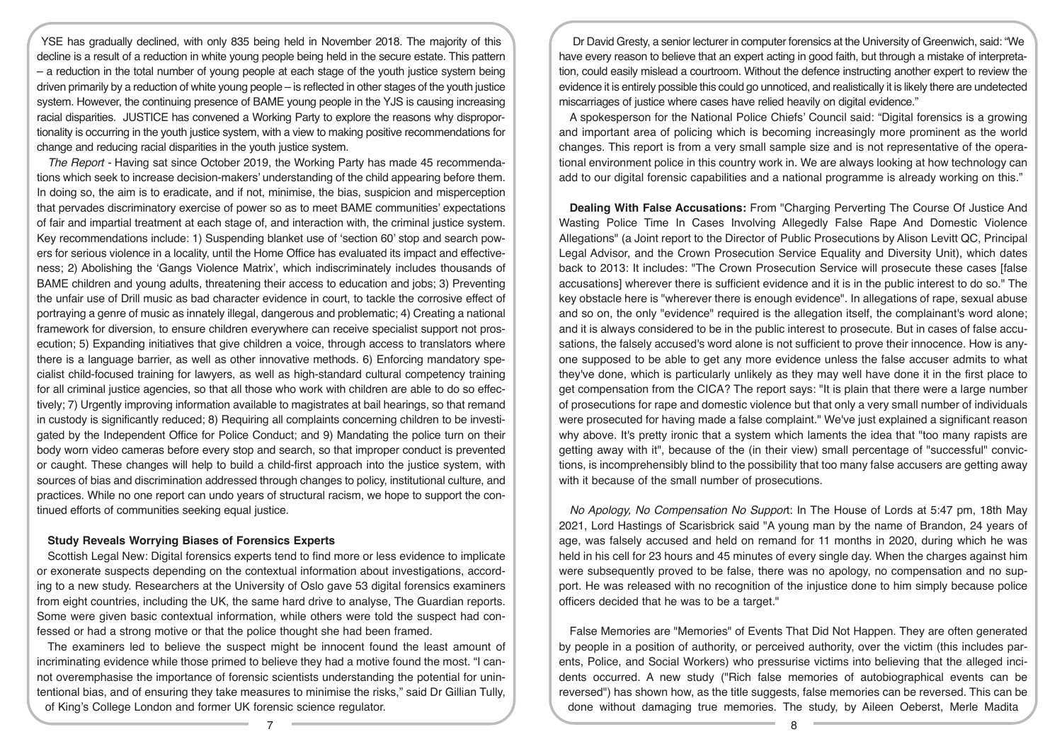YSE has gradually declined, with only 835 being held in November 2018. The majority of this decline is a result of a reduction in white young people being held in the secure estate. This pattern – a reduction in the total number of young people at each stage of the youth justice system being driven primarily by a reduction of white young people – is reflected in other stages of the youth justice system. However, the continuing presence of BAME young people in the YJS is causing increasing racial disparities. JUSTICE has convened a Working Party to explore the reasons why disproportionality is occurring in the youth justice system, with a view to making positive recommendations for change and reducing racial disparities in the youth justice system.

*The Report -* Having sat since October 2019, the Working Party has made 45 recommendations which seek to increase decision-makers' understanding of the child appearing before them. In doing so, the aim is to eradicate, and if not, minimise, the bias, suspicion and misperception that pervades discriminatory exercise of power so as to meet BAME communities' expectations of fair and impartial treatment at each stage of, and interaction with, the criminal justice system. Key recommendations include: 1) Suspending blanket use of 'section 60' stop and search powers for serious violence in a locality, until the Home Office has evaluated its impact and effectiveness; 2) Abolishing the 'Gangs Violence Matrix', which indiscriminately includes thousands of BAME children and young adults, threatening their access to education and jobs; 3) Preventing the unfair use of Drill music as bad character evidence in court, to tackle the corrosive effect of portraying a genre of music as innately illegal, dangerous and problematic; 4) Creating a national framework for diversion, to ensure children everywhere can receive specialist support not prosecution; 5) Expanding initiatives that give children a voice, through access to translators where there is a language barrier, as well as other innovative methods. 6) Enforcing mandatory specialist child-focused training for lawyers, as well as high-standard cultural competency training for all criminal justice agencies, so that all those who work with children are able to do so effectively; 7) Urgently improving information available to magistrates at bail hearings, so that remand in custody is significantly reduced; 8) Requiring all complaints concerning children to be investigated by the Independent Office for Police Conduct; and 9) Mandating the police turn on their body worn video cameras before every stop and search, so that improper conduct is prevented or caught. These changes will help to build a child-first approach into the justice system, with sources of bias and discrimination addressed through changes to policy, institutional culture, and practices. While no one report can undo years of structural racism, we hope to support the continued efforts of communities seeking equal justice.

#### **Study Reveals Worrying Biases of Forensics Experts**

Scottish Legal New: Digital forensics experts tend to find more or less evidence to implicate or exonerate suspects depending on the contextual information about investigations, according to a new study. Researchers at the University of Oslo gave 53 digital forensics examiners from eight countries, including the UK, the same hard drive to analyse, The Guardian reports. Some were given basic contextual information, while others were told the suspect had confessed or had a strong motive or that the police thought she had been framed.

The examiners led to believe the suspect might be innocent found the least amount of incriminating evidence while those primed to believe they had a motive found the most. "I cannot overemphasise the importance of forensic scientists understanding the potential for unintentional bias, and of ensuring they take measures to minimise the risks," said Dr Gillian Tully, of King's College London and former UK forensic science regulator.

Dr David Gresty, a senior lecturer in computer forensics at the University of Greenwich, said: "We have every reason to believe that an expert acting in good faith, but through a mistake of interpretation, could easily mislead a courtroom. Without the defence instructing another expert to review the evidence it is entirely possible this could go unnoticed, and realistically it is likely there are undetected miscarriages of justice where cases have relied heavily on digital evidence."

A spokesperson for the National Police Chiefs' Council said: "Digital forensics is a growing and important area of policing which is becoming increasingly more prominent as the world changes. This report is from a very small sample size and is not representative of the operational environment police in this country work in. We are always looking at how technology can add to our digital forensic capabilities and a national programme is already working on this."

**Dealing With False Accusations:** From "Charging Perverting The Course Of Justice And Wasting Police Time In Cases Involving Allegedly False Rape And Domestic Violence Allegations" (a Joint report to the Director of Public Prosecutions by Alison Levitt QC, Principal Legal Advisor, and the Crown Prosecution Service Equality and Diversity Unit), which dates back to 2013: It includes: "The Crown Prosecution Service will prosecute these cases [false accusations] wherever there is sufficient evidence and it is in the public interest to do so." The key obstacle here is "wherever there is enough evidence". In allegations of rape, sexual abuse and so on, the only "evidence" required is the allegation itself, the complainant's word alone; and it is always considered to be in the public interest to prosecute. But in cases of false accusations, the falsely accused's word alone is not sufficient to prove their innocence. How is anyone supposed to be able to get any more evidence unless the false accuser admits to what they've done, which is particularly unlikely as they may well have done it in the first place to get compensation from the CICA? The report says: "It is plain that there were a large number of prosecutions for rape and domestic violence but that only a very small number of individuals were prosecuted for having made a false complaint." We've just explained a significant reason why above. It's pretty ironic that a system which laments the idea that "too many rapists are getting away with it", because of the (in their view) small percentage of "successful" convictions, is incomprehensibly blind to the possibility that too many false accusers are getting away with it because of the small number of prosecutions.

*No Apology, No Compensation No Suppor*t: In The House of Lords at 5:47 pm, 18th May 2021, Lord Hastings of Scarisbrick said "A young man by the name of Brandon, 24 years of age, was falsely accused and held on remand for 11 months in 2020, during which he was held in his cell for 23 hours and 45 minutes of every single day. When the charges against him were subsequently proved to be false, there was no apology, no compensation and no support. He was released with no recognition of the injustice done to him simply because police officers decided that he was to be a target."

False Memories are "Memories" of Events That Did Not Happen. They are often generated by people in a position of authority, or perceived authority, over the victim (this includes parents, Police, and Social Workers) who pressurise victims into believing that the alleged incidents occurred. A new study ("Rich false memories of autobiographical events can be reversed") has shown how, as the title suggests, false memories can be reversed. This can be done without damaging true memories. The study, by Aileen Oeberst, Merle Madita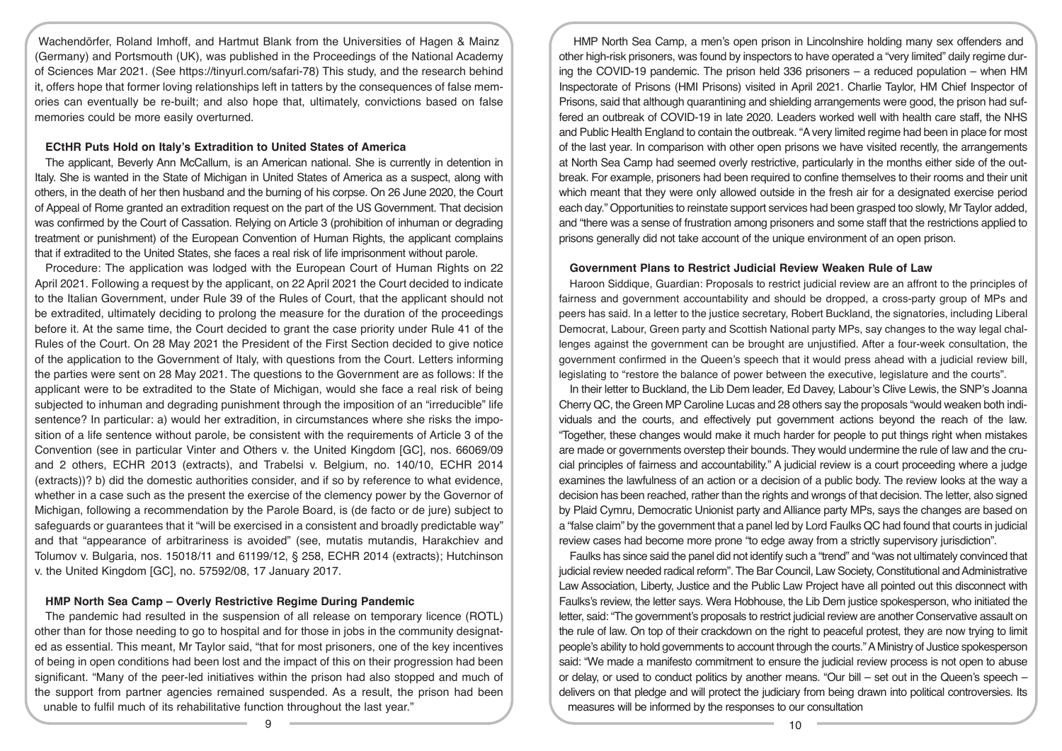Wachendörfer, Roland Imhoff, and Hartmut Blank from the Universities of Hagen & Mainz (Germany) and Portsmouth (UK), was published in the Proceedings of the National Academy of Sciences Mar 2021. (See https://tinyurl.com/safari-78) This study, and the research behind it, offers hope that former loving relationships left in tatters by the consequences of false memories can eventually be re-built; and also hope that, ultimately, convictions based on false memories could be more easily overturned.

### **ECtHR Puts Hold on Italy's Extradition to United States of America**

The applicant, Beverly Ann McCallum, is an American national. She is currently in detention in Italy. She is wanted in the State of Michigan in United States of America as a suspect, along with others, in the death of her then husband and the burning of his corpse. On 26 June 2020, the Court of Appeal of Rome granted an extradition request on the part of the US Government. That decision was confirmed by the Court of Cassation. Relying on Article 3 (prohibition of inhuman or degrading treatment or punishment) of the European Convention of Human Rights, the applicant complains that if extradited to the United States, she faces a real risk of life imprisonment without parole.

Procedure: The application was lodged with the European Court of Human Rights on 22 April 2021. Following a request by the applicant, on 22 April 2021 the Court decided to indicate to the Italian Government, under Rule 39 of the Rules of Court, that the applicant should not be extradited, ultimately deciding to prolong the measure for the duration of the proceedings before it. At the same time, the Court decided to grant the case priority under Rule 41 of the Rules of the Court. On 28 May 2021 the President of the First Section decided to give notice of the application to the Government of Italy, with questions from the Court. Letters informing the parties were sent on 28 May 2021. The questions to the Government are as follows: If the applicant were to be extradited to the State of Michigan, would she face a real risk of being subjected to inhuman and degrading punishment through the imposition of an "irreducible" life sentence? In particular: a) would her extradition, in circumstances where she risks the imposition of a life sentence without parole, be consistent with the requirements of Article 3 of the Convention (see in particular Vinter and Others v. the United Kingdom [GC], nos. 66069/09 and 2 others, ECHR 2013 (extracts), and Trabelsi v. Belgium, no. 140/10, ECHR 2014 (extracts))? b) did the domestic authorities consider, and if so by reference to what evidence, whether in a case such as the present the exercise of the clemency power by the Governor of Michigan, following a recommendation by the Parole Board, is (de facto or de jure) subject to safeguards or guarantees that it "will be exercised in a consistent and broadly predictable way" and that "appearance of arbitrariness is avoided" (see, mutatis mutandis, Harakchiev and Tolumov v. Bulgaria, nos. 15018/11 and 61199/12, § 258, ECHR 2014 (extracts); Hutchinson v. the United Kingdom [GC], no. 57592/08, 17 January 2017.

#### **HMP North Sea Camp – Overly Restrictive Regime During Pandemic**

The pandemic had resulted in the suspension of all release on temporary licence (ROTL) other than for those needing to go to hospital and for those in jobs in the community designated as essential. This meant, Mr Taylor said, "that for most prisoners, one of the key incentives of being in open conditions had been lost and the impact of this on their progression had been significant. "Many of the peer-led initiatives within the prison had also stopped and much of the support from partner agencies remained suspended. As a result, the prison had been unable to fulfil much of its rehabilitative function throughout the last year."

HMP North Sea Camp, a men's open prison in Lincolnshire holding many sex offenders and other high-risk prisoners, was found by inspectors to have operated a "very limited" daily regime during the COVID-19 pandemic. The prison held 336 prisoners – a reduced population – when HM Inspectorate of Prisons (HMI Prisons) visited in April 2021. Charlie Taylor, HM Chief Inspector of Prisons, said that although quarantining and shielding arrangements were good, the prison had suffered an outbreak of COVID-19 in late 2020. Leaders worked well with health care staff, the NHS and Public Health England to contain the outbreak. "A very limited regime had been in place for most of the last year. In comparison with other open prisons we have visited recently, the arrangements at North Sea Camp had seemed overly restrictive, particularly in the months either side of the outbreak. For example, prisoners had been required to confine themselves to their rooms and their unit which meant that they were only allowed outside in the fresh air for a designated exercise period each day." Opportunities to reinstate support services had been grasped too slowly, Mr Taylor added, and "there was a sense of frustration among prisoners and some staff that the restrictions applied to prisons generally did not take account of the unique environment of an open prison.

#### **Government Plans to Restrict Judicial Review Weaken Rule of Law**

Haroon Siddique, Guardian: Proposals to restrict judicial review are an affront to the principles of fairness and government accountability and should be dropped, a cross-party group of MPs and peers has said. In a letter to the justice secretary, Robert Buckland, the signatories, including Liberal Democrat, Labour, Green party and Scottish National party MPs, say changes to the way legal challenges against the government can be brought are unjustified. After a four-week consultation, the government confirmed in the Queen's speech that it would press ahead with a judicial review bill, legislating to "restore the balance of power between the executive, legislature and the courts".

In their letter to Buckland, the Lib Dem leader, Ed Davey, Labour's Clive Lewis, the SNP's Joanna Cherry QC, the Green MP Caroline Lucas and 28 others say the proposals "would weaken both individuals and the courts, and effectively put government actions beyond the reach of the law. "Together, these changes would make it much harder for people to put things right when mistakes are made or governments overstep their bounds. They would undermine the rule of law and the crucial principles of fairness and accountability." A judicial review is a court proceeding where a judge examines the lawfulness of an action or a decision of a public body. The review looks at the way a decision has been reached, rather than the rights and wrongs of that decision. The letter, also signed by Plaid Cymru, Democratic Unionist party and Alliance party MPs, says the changes are based on a "false claim" by the government that a panel led by Lord Faulks QC had found that courts in judicial review cases had become more prone "to edge away from a strictly supervisory jurisdiction".

Faulks has since said the panel did not identify such a "trend" and "was not ultimately convinced that judicial review needed radical reform". The Bar Council, Law Society, Constitutional and Administrative Law Association, Liberty, Justice and the Public Law Project have all pointed out this disconnect with Faulks's review, the letter says. Wera Hobhouse, the Lib Dem justice spokesperson, who initiated the letter, said: "The government's proposals to restrict judicial review are another Conservative assault on the rule of law. On top of their crackdown on the right to peaceful protest, they are now trying to limit people's ability to hold governments to account through the courts." A Ministry of Justice spokesperson said: "We made a manifesto commitment to ensure the judicial review process is not open to abuse or delay, or used to conduct politics by another means. "Our bill – set out in the Queen's speech – delivers on that pledge and will protect the judiciary from being drawn into political controversies. Its measures will be informed by the responses to our consultation